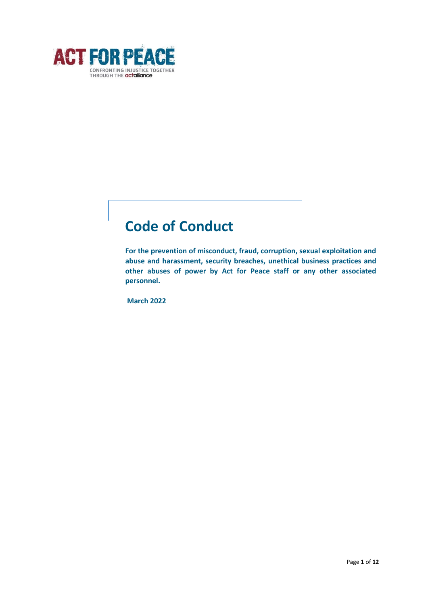

# **Code of Conduct**

**For the prevention of misconduct, fraud, corruption, sexual exploitation and abuse and harassment, security breaches, unethical business practices and other abuses of power by Act for Peace staff or any other associated personnel.**

**March 2022**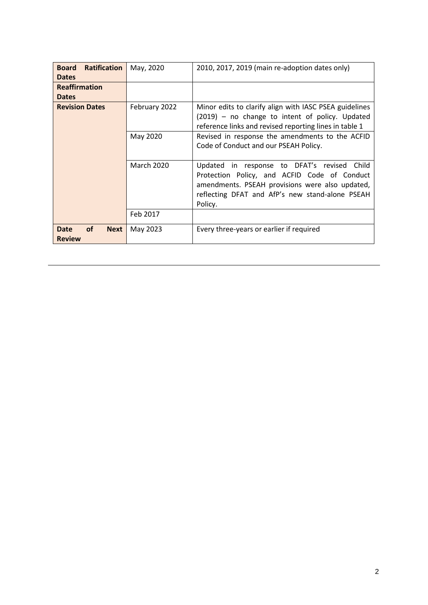| <b>Ratification</b><br><b>Board</b>     | May, 2020         | 2010, 2017, 2019 (main re-adoption dates only)         |
|-----------------------------------------|-------------------|--------------------------------------------------------|
|                                         |                   |                                                        |
| <b>Dates</b>                            |                   |                                                        |
| <b>Reaffirmation</b>                    |                   |                                                        |
| <b>Dates</b>                            |                   |                                                        |
| <b>Revision Dates</b>                   | February 2022     | Minor edits to clarify align with IASC PSEA guidelines |
|                                         |                   | (2019) – no change to intent of policy. Updated        |
|                                         |                   | reference links and revised reporting lines in table 1 |
|                                         | May 2020          | Revised in response the amendments to the ACFID        |
|                                         |                   | Code of Conduct and our PSEAH Policy.                  |
|                                         |                   |                                                        |
|                                         | <b>March 2020</b> | Updated in response to DFAT's revised Child            |
|                                         |                   | Protection Policy, and ACFID Code of Conduct           |
|                                         |                   | amendments. PSEAH provisions were also updated,        |
|                                         |                   | reflecting DFAT and AfP's new stand-alone PSEAH        |
|                                         |                   | Policy.                                                |
|                                         | Feb 2017          |                                                        |
|                                         |                   |                                                        |
| <b>of</b><br><b>Date</b><br><b>Next</b> | May 2023          | Every three-years or earlier if required               |
| <b>Review</b>                           |                   |                                                        |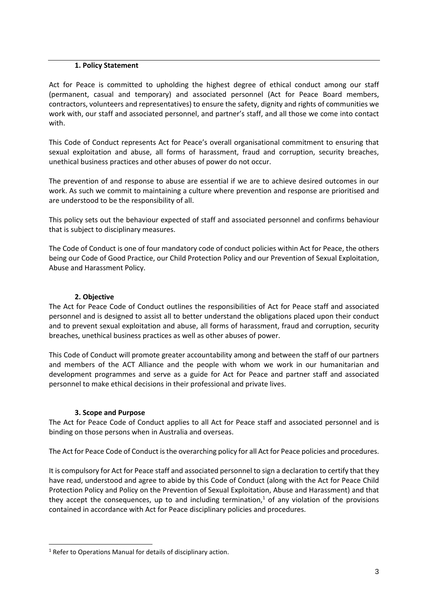#### **1. Policy Statement**

Act for Peace is committed to upholding the highest degree of ethical conduct among our staff (permanent, casual and temporary) and associated personnel (Act for Peace Board members, contractors, volunteers and representatives) to ensure the safety, dignity and rights of communities we work with, our staff and associated personnel, and partner's staff, and all those we come into contact with.

This Code of Conduct represents Act for Peace's overall organisational commitment to ensuring that sexual exploitation and abuse, all forms of harassment, fraud and corruption, security breaches, unethical business practices and other abuses of power do not occur.

The prevention of and response to abuse are essential if we are to achieve desired outcomes in our work. As such we commit to maintaining a culture where prevention and response are prioritised and are understood to be the responsibility of all.

This policy sets out the behaviour expected of staff and associated personnel and confirms behaviour that is subject to disciplinary measures.

The Code of Conduct is one of four mandatory code of conduct policies within Act for Peace, the others being our Code of Good Practice, our Child Protection Policy and our Prevention of Sexual Exploitation, Abuse and Harassment Policy.

#### **2. Objective**

The Act for Peace Code of Conduct outlines the responsibilities of Act for Peace staff and associated personnel and is designed to assist all to better understand the obligations placed upon their conduct and to prevent sexual exploitation and abuse, all forms of harassment, fraud and corruption, security breaches, unethical business practices as well as other abuses of power.

This Code of Conduct will promote greater accountability among and between the staff of our partners and members of the ACT Alliance and the people with whom we work in our humanitarian and development programmes and serve as a guide for Act for Peace and partner staff and associated personnel to make ethical decisions in their professional and private lives.

## **3. Scope and Purpose**

The Act for Peace Code of Conduct applies to all Act for Peace staff and associated personnel and is binding on those persons when in Australia and overseas.

The Act for Peace Code of Conduct is the overarching policy for all Act for Peace policies and procedures.

It is compulsory for Act for Peace staff and associated personnel to sign a declaration to certify that they have read, understood and agree to abide by this Code of Conduct (along with the Act for Peace Child Protection Policy and Policy on the Prevention of Sexual Exploitation, Abuse and Harassment) and that they accept the consequences, up to and including termination,  $1$  of any violation of the provisions contained in accordance with Act for Peace disciplinary policies and procedures.

<sup>&</sup>lt;sup>1</sup> Refer to Operations Manual for details of disciplinary action.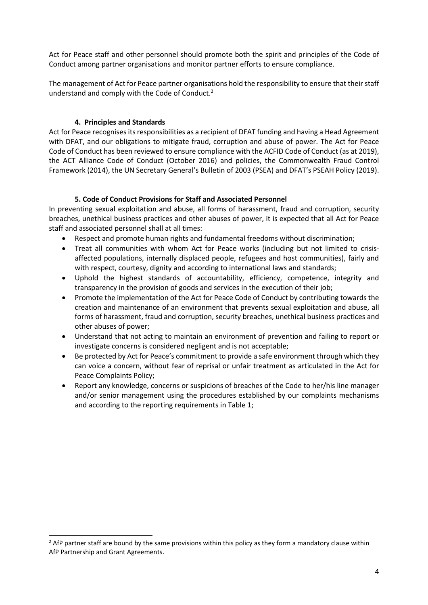Act for Peace staff and other personnel should promote both the spirit and principles of the Code of Conduct among partner organisations and monitor partner efforts to ensure compliance.

The management of Act for Peace partner organisations hold the responsibility to ensure that their staff understand and comply with the Code of Conduct.<sup>2</sup>

## **4. Principles and Standards**

Act for Peace recognises its responsibilities as a recipient of DFAT funding and having a Head Agreement with DFAT, and our obligations to mitigate fraud, corruption and abuse of power. The Act for Peace Code of Conduct has been reviewed to ensure compliance with the ACFID Code of Conduct (as at 2019), the ACT Alliance Code of Conduct (October 2016) and policies, the Commonwealth Fraud Control Framework (2014), the UN Secretary General's Bulletin of 2003 (PSEA) and DFAT's PSEAH Policy (2019).

#### **5. Code of Conduct Provisions for Staff and Associated Personnel**

In preventing sexual exploitation and abuse, all forms of harassment, fraud and corruption, security breaches, unethical business practices and other abuses of power, it is expected that all Act for Peace staff and associated personnel shall at all times:

- Respect and promote human rights and fundamental freedoms without discrimination;
- Treat all communities with whom Act for Peace works (including but not limited to crisisaffected populations, internally displaced people, refugees and host communities), fairly and with respect, courtesy, dignity and according to international laws and standards;
- Uphold the highest standards of accountability, efficiency, competence, integrity and transparency in the provision of goods and services in the execution of their job;
- Promote the implementation of the Act for Peace Code of Conduct by contributing towards the creation and maintenance of an environment that prevents sexual exploitation and abuse, all forms of harassment, fraud and corruption, security breaches, unethical business practices and other abuses of power;
- Understand that not acting to maintain an environment of prevention and failing to report or investigate concerns is considered negligent and is not acceptable;
- Be protected by Act for Peace's commitment to provide a safe environment through which they can voice a concern, without fear of reprisal or unfair treatment as articulated in the Act for Peace Complaints Policy;
- Report any knowledge, concerns or suspicions of breaches of the Code to her/his line manager and/or senior management using the procedures established by our complaints mechanisms and according to the reporting requirements in Table 1;

<sup>&</sup>lt;sup>2</sup> AfP partner staff are bound by the same provisions within this policy as they form a mandatory clause within AfP Partnership and Grant Agreements.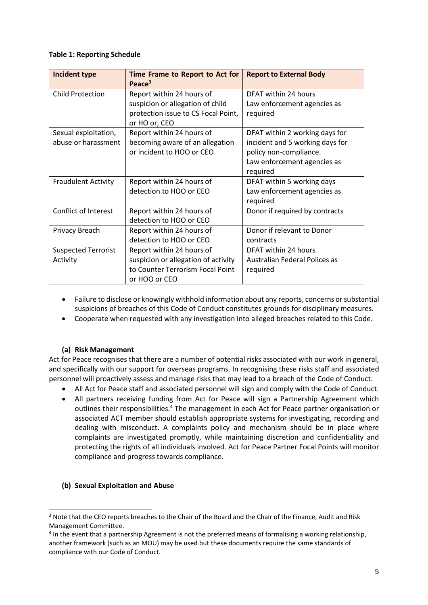#### **Table 1: Reporting Schedule**

| Incident type              | Time Frame to Report to Act for<br>Peace <sup>3</sup> | <b>Report to External Body</b>  |
|----------------------------|-------------------------------------------------------|---------------------------------|
| <b>Child Protection</b>    | Report within 24 hours of                             | DFAT within 24 hours            |
|                            | suspicion or allegation of child                      | Law enforcement agencies as     |
|                            | protection issue to CS Focal Point,                   | required                        |
|                            | or HO or, CEO                                         |                                 |
| Sexual exploitation,       | Report within 24 hours of                             | DFAT within 2 working days for  |
| abuse or harassment        | becoming aware of an allegation                       | incident and 5 working days for |
|                            | or incident to HOO or CEO                             | policy non-compliance.          |
|                            |                                                       | Law enforcement agencies as     |
|                            |                                                       | required                        |
| <b>Fraudulent Activity</b> | Report within 24 hours of                             | DFAT within 5 working days      |
|                            | detection to HOO or CEO                               | Law enforcement agencies as     |
|                            |                                                       | required                        |
| Conflict of Interest       | Report within 24 hours of                             | Donor if required by contracts  |
|                            | detection to HOO or CEO                               |                                 |
| Privacy Breach             | Report within 24 hours of                             | Donor if relevant to Donor      |
|                            | detection to HOO or CEO                               | contracts                       |
| <b>Suspected Terrorist</b> | Report within 24 hours of                             | DFAT within 24 hours            |
| Activity                   | suspicion or allegation of activity                   | Australian Federal Polices as   |
|                            | to Counter Terrorism Focal Point                      | required                        |
|                            | or HOO or CEO                                         |                                 |

- Failure to disclose or knowingly withhold information about any reports, concerns or substantial suspicions of breaches of this Code of Conduct constitutes grounds for disciplinary measures.
- Cooperate when requested with any investigation into alleged breaches related to this Code.

## **(a) Risk Management**

Act for Peace recognises that there are a number of potential risks associated with our work in general, and specifically with our support for overseas programs. In recognising these risks staff and associated personnel will proactively assess and manage risks that may lead to a breach of the Code of Conduct.

- All Act for Peace staff and associated personnel will sign and comply with the Code of Conduct.
- All partners receiving funding from Act for Peace will sign a Partnership Agreement which outlines their responsibilities.<sup>4</sup> The management in each Act for Peace partner organisation or associated ACT member should establish appropriate systems for investigating, recording and dealing with misconduct. A complaints policy and mechanism should be in place where complaints are investigated promptly, while maintaining discretion and confidentiality and protecting the rights of all individuals involved. Act for Peace Partner Focal Points will monitor compliance and progress towards compliance.

## **(b) Sexual Exploitation and Abuse**

<sup>&</sup>lt;sup>3</sup> Note that the CEO reports breaches to the Chair of the Board and the Chair of the Finance, Audit and Risk Management Committee.

<sup>&</sup>lt;sup>4</sup> In the event that a partnership Agreement is not the preferred means of formalising a working relationship, another framework (such as an MOU) may be used but these documents require the same standards of compliance with our Code of Conduct.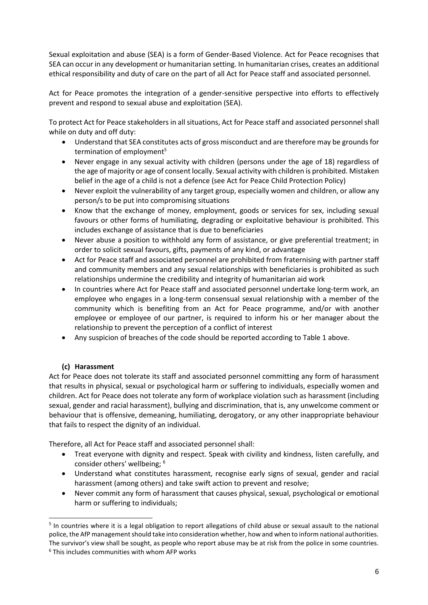Sexual exploitation and abuse (SEA) is a form of Gender-Based Violence. Act for Peace recognises that SEA can occur in any development or humanitarian setting. In humanitarian crises, creates an additional ethical responsibility and duty of care on the part of all Act for Peace staff and associated personnel.

Act for Peace promotes the integration of a gender-sensitive perspective into efforts to effectively prevent and respond to sexual abuse and exploitation (SEA).

To protect Act for Peace stakeholders in all situations, Act for Peace staff and associated personnel shall while on duty and off duty:

- Understand that SEA constitutes acts of gross misconduct and are therefore may be grounds for termination of employment<sup>5</sup>
- Never engage in any sexual activity with children (persons under the age of 18) regardless of the age of majority or age of consent locally. Sexual activity with children is prohibited. Mistaken belief in the age of a child is not a defence (see Act for Peace Child Protection Policy)
- Never exploit the vulnerability of any target group, especially women and children, or allow any person/s to be put into compromising situations
- Know that the exchange of money, employment, goods or services for sex, including sexual favours or other forms of humiliating, degrading or exploitative behaviour is prohibited. This includes exchange of assistance that is due to beneficiaries
- Never abuse a position to withhold any form of assistance, or give preferential treatment; in order to solicit sexual favours, gifts, payments of any kind, or advantage
- Act for Peace staff and associated personnel are prohibited from fraternising with partner staff and community members and any sexual relationships with beneficiaries is prohibited as such relationships undermine the credibility and integrity of humanitarian aid work
- In countries where Act for Peace staff and associated personnel undertake long-term work, an employee who engages in a long-term consensual sexual relationship with a member of the community which is benefiting from an Act for Peace programme, and/or with another employee or employee of our partner, is required to inform his or her manager about the relationship to prevent the perception of a conflict of interest
- Any suspicion of breaches of the code should be reported according to Table 1 above.

## **(c) Harassment**

Act for Peace does not tolerate its staff and associated personnel committing any form of harassment that results in physical, sexual or psychological harm or suffering to individuals, especially women and children. Act for Peace does not tolerate any form of workplace violation such as harassment (including sexual, gender and racial harassment), bullying and discrimination, that is, any unwelcome comment or behaviour that is offensive, demeaning, humiliating, derogatory, or any other inappropriate behaviour that fails to respect the dignity of an individual.

Therefore, all Act for Peace staff and associated personnel shall:

- Treat everyone with dignity and respect. Speak with civility and kindness, listen carefully, and consider others' wellbeing; <sup>6</sup>
- Understand what constitutes harassment, recognise early signs of sexual, gender and racial harassment (among others) and take swift action to prevent and resolve;
- Never commit any form of harassment that causes physical, sexual, psychological or emotional harm or suffering to individuals;

<sup>&</sup>lt;sup>5</sup> In countries where it is a legal obligation to report allegations of child abuse or sexual assault to the national police, the AfP management should take into consideration whether, how and when to inform national authorities. The survivor's view shall be sought, as people who report abuse may be at risk from the police in some countries. <sup>6</sup> This includes communities with whom AFP works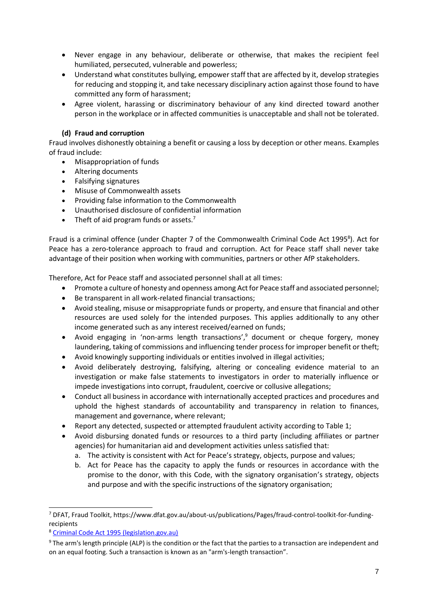- Never engage in any behaviour, deliberate or otherwise, that makes the recipient feel humiliated, persecuted, vulnerable and powerless;
- Understand what constitutes bullying, empower staff that are affected by it, develop strategies for reducing and stopping it, and take necessary disciplinary action against those found to have committed any form of harassment;
- Agree violent, harassing or discriminatory behaviour of any kind directed toward another person in the workplace or in affected communities is unacceptable and shall not be tolerated.

## **(d) Fraud and corruption**

Fraud involves dishonestly obtaining a benefit or causing a loss by deception or other means. Examples of fraud include:

- Misappropriation of funds
- Altering documents
- Falsifying signatures
- Misuse of Commonwealth assets
- Providing false information to the Commonwealth
- Unauthorised disclosure of confidential information
- Theft of aid program funds or assets. $<sup>7</sup>$ </sup>

Fraud is a criminal offence (under Chapter 7 of the Commonwealth Criminal Code Act 1995<sup>8</sup>). Act for Peace has a zero-tolerance approach to fraud and corruption. Act for Peace staff shall never take advantage of their position when working with communities, partners or other AfP stakeholders.

Therefore, Act for Peace staff and associated personnel shall at all times:

- Promote a culture of honesty and openness among Act for Peace staff and associated personnel;
- Be transparent in all work-related financial transactions;
- Avoid stealing, misuse or misappropriate funds or property, and ensure that financial and other resources are used solely for the intended purposes. This applies additionally to any other income generated such as any interest received/earned on funds;
- Avoid engaging in 'non-arms length transactions',<sup>9</sup> document or cheque forgery, money laundering, taking of commissions and influencing tender process for improper benefit or theft;
- Avoid knowingly supporting individuals or entities involved in illegal activities;
- Avoid deliberately destroying, falsifying, altering or concealing evidence material to an investigation or make false statements to investigators in order to materially influence or impede investigations into corrupt, fraudulent, coercive or collusive allegations;
- Conduct all business in accordance with internationally accepted practices and procedures and uphold the highest standards of accountability and transparency in relation to finances, management and governance, where relevant;
- Report any detected, suspected or attempted fraudulent activity according to Table 1;
- Avoid disbursing donated funds or resources to a third party (including affiliates or partner agencies) for humanitarian aid and development activities unless satisfied that:
	- a. The activity is consistent with Act for Peace's strategy, objects, purpose and values;
	- b. Act for Peace has the capacity to apply the funds or resources in accordance with the promise to the donor, with this Code, with the signatory organisation's strategy, objects and purpose and with the specific instructions of the signatory organisation;

<sup>7</sup> DFAT, Fraud Toolkit, https://www.dfat.gov.au/about-us/publications/Pages/fraud-control-toolkit-for-fundingrecipients

<sup>8</sup> [Criminal Code Act 1995 \(legislation.gov.au\)](https://www.legislation.gov.au/Details/C2021C00183)

<sup>&</sup>lt;sup>9</sup> The arm's length principle (ALP) is the condition or the fact that the parties to a transaction are independent and on an equal footing. Such a transaction is known as an "arm's-length transaction".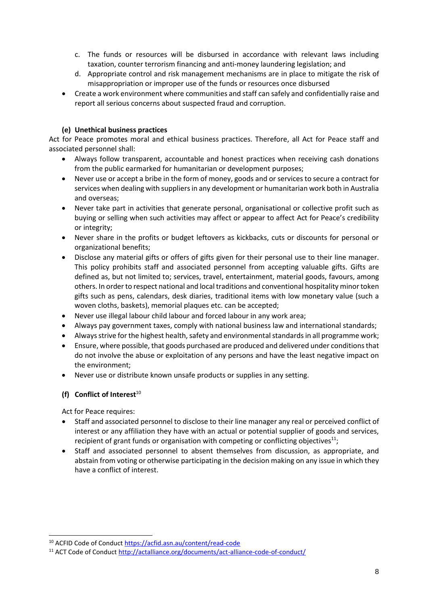- c. The funds or resources will be disbursed in accordance with relevant laws including taxation, counter terrorism financing and anti-money laundering legislation; and
- d. Appropriate control and risk management mechanisms are in place to mitigate the risk of misappropriation or improper use of the funds or resources once disbursed
- Create a work environment where communities and staff can safely and confidentially raise and report all serious concerns about suspected fraud and corruption.

## **(e) Unethical business practices**

Act for Peace promotes moral and ethical business practices. Therefore, all Act for Peace staff and associated personnel shall:

- Always follow transparent, accountable and honest practices when receiving cash donations from the public earmarked for humanitarian or development purposes;
- Never use or accept a bribe in the form of money, goods and or services to secure a contract for services when dealing with suppliers in any development or humanitarian work both in Australia and overseas;
- Never take part in activities that generate personal, organisational or collective profit such as buying or selling when such activities may affect or appear to affect Act for Peace's credibility or integrity;
- Never share in the profits or budget leftovers as kickbacks, cuts or discounts for personal or organizational benefits;
- Disclose any material gifts or offers of gifts given for their personal use to their line manager. This policy prohibits staff and associated personnel from accepting valuable gifts. Gifts are defined as, but not limited to; services, travel, entertainment, material goods, favours, among others. In order to respect national and local traditions and conventional hospitality minor token gifts such as pens, calendars, desk diaries, traditional items with low monetary value (such a woven cloths, baskets), memorial plaques etc. can be accepted;
- Never use illegal labour child labour and forced labour in any work area;
- Always pay government taxes, comply with national business law and international standards;
- Always strive for the highest health, safety and environmental standards in all programme work;
- Ensure, where possible, that goods purchased are produced and delivered under conditions that do not involve the abuse or exploitation of any persons and have the least negative impact on the environment;
- Never use or distribute known unsafe products or supplies in any setting.

## **(f) Conflict of Interest**<sup>10</sup>

Act for Peace requires:

- Staff and associated personnel to disclose to their line manager any real or perceived conflict of interest or any affiliation they have with an actual or potential supplier of goods and services, recipient of grant funds or organisation with competing or conflicting objectives $^{11}$ ;
- Staff and associated personnel to absent themselves from discussion, as appropriate, and abstain from voting or otherwise participating in the decision making on any issue in which they have a conflict of interest.

<sup>10</sup> ACFID Code of Conduct<https://acfid.asn.au/content/read-code>

<sup>&</sup>lt;sup>11</sup> ACT Code of Conduct<http://actalliance.org/documents/act-alliance-code-of-conduct/>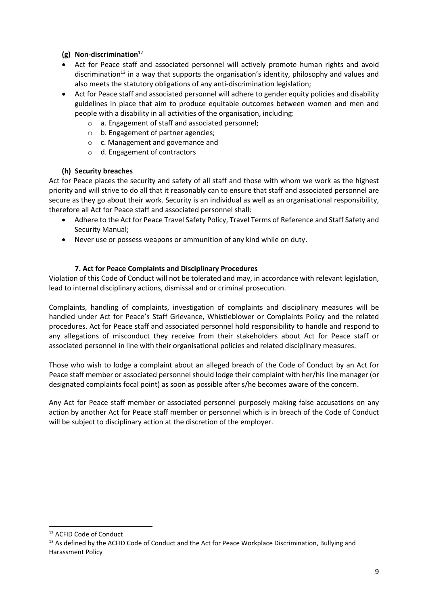# **(g) Non-discrimination**<sup>12</sup>

- Act for Peace staff and associated personnel will actively promote human rights and avoid discrimination<sup>13</sup> in a way that supports the organisation's identity, philosophy and values and also meets the statutory obligations of any anti-discrimination legislation;
- Act for Peace staff and associated personnel will adhere to gender equity policies and disability guidelines in place that aim to produce equitable outcomes between women and men and people with a disability in all activities of the organisation, including:
	- o a. Engagement of staff and associated personnel;
	- o b. Engagement of partner agencies;
	- o c. Management and governance and
	- o d. Engagement of contractors

# **(h) Security breaches**

Act for Peace places the security and safety of all staff and those with whom we work as the highest priority and will strive to do all that it reasonably can to ensure that staff and associated personnel are secure as they go about their work. Security is an individual as well as an organisational responsibility, therefore all Act for Peace staff and associated personnel shall:

- Adhere to the Act for Peace Travel Safety Policy, Travel Terms of Reference and Staff Safety and Security Manual;
- Never use or possess weapons or ammunition of any kind while on duty.

# **7. Act for Peace Complaints and Disciplinary Procedures**

Violation of this Code of Conduct will not be tolerated and may, in accordance with relevant legislation, lead to internal disciplinary actions, dismissal and or criminal prosecution.

Complaints, handling of complaints, investigation of complaints and disciplinary measures will be handled under Act for Peace's Staff Grievance, Whistleblower or Complaints Policy and the related procedures. Act for Peace staff and associated personnel hold responsibility to handle and respond to any allegations of misconduct they receive from their stakeholders about Act for Peace staff or associated personnel in line with their organisational policies and related disciplinary measures.

Those who wish to lodge a complaint about an alleged breach of the Code of Conduct by an Act for Peace staff member or associated personnel should lodge their complaint with her/his line manager (or designated complaints focal point) as soon as possible after s/he becomes aware of the concern.

Any Act for Peace staff member or associated personnel purposely making false accusations on any action by another Act for Peace staff member or personnel which is in breach of the Code of Conduct will be subject to disciplinary action at the discretion of the employer.

<sup>12</sup> ACFID Code of Conduct

<sup>&</sup>lt;sup>13</sup> As defined by the ACFID Code of Conduct and the Act for Peace Workplace Discrimination, Bullying and Harassment Policy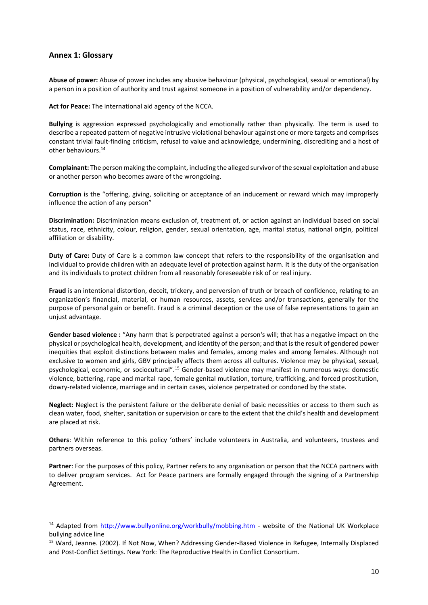#### **Annex 1: Glossary**

**Abuse of power:** Abuse of power includes any abusive behaviour (physical, psychological, sexual or emotional) by a person in a position of authority and trust against someone in a position of vulnerability and/or dependency.

**Act for Peace:** The international aid agency of the NCCA.

**Bullying** is aggression expressed psychologically and emotionally rather than physically. The term is used to describe a repeated pattern of negative intrusive violational behaviour against one or more targets and comprises constant trivial fault-finding criticism, refusal to value and acknowledge, undermining, discrediting and a host of other behaviours.<sup>14</sup>

**Complainant:** The person making the complaint, including the alleged survivor of the sexual exploitation and abuse or another person who becomes aware of the wrongdoing.

**Corruption** is the "offering, giving, soliciting or acceptance of an inducement or reward which may improperly influence the action of any person"

**Discrimination:** Discrimination means exclusion of, treatment of, or action against an individual based on social status, race, ethnicity, colour, religion, gender, sexual orientation, age, marital status, national origin, political affiliation or disability.

**Duty of Care:** Duty of Care is a common law concept that refers to the responsibility of the organisation and individual to provide children with an adequate level of protection against harm. It is the duty of the organisation and its individuals to protect children from all reasonably foreseeable risk of or real injury.

**Fraud** is an intentional distortion, deceit, trickery, and perversion of truth or breach of confidence, relating to an organization's financial, material, or human resources, assets, services and/or transactions, generally for the purpose of personal gain or benefit. Fraud is a criminal deception or the use of false representations to gain an unjust advantage.

**Gender based violence :** "Any harm that is perpetrated against a person's will; that has a negative impact on the physical or psychological health, development, and identity of the person; and that is the result of gendered power inequities that exploit distinctions between males and females, among males and among females. Although not exclusive to women and girls, GBV principally affects them across all cultures. Violence may be physical, sexual, psychological, economic, or sociocultural".<sup>15</sup> Gender-based violence may manifest in numerous ways: domestic violence, battering, rape and marital rape, female genital mutilation, torture, trafficking, and forced prostitution, dowry-related violence, marriage and in certain cases, violence perpetrated or condoned by the state.

**Neglect:** Neglect is the persistent failure or the deliberate denial of basic necessities or access to them such as clean water, food, shelter, sanitation or supervision or care to the extent that the child's health and development are placed at risk.

**Others**: Within reference to this policy 'others' include volunteers in Australia, and volunteers, trustees and partners overseas.

**Partner**: For the purposes of this policy, Partner refers to any organisation or person that the NCCA partners with to deliver program services. Act for Peace partners are formally engaged through the signing of a Partnership Agreement.

<sup>&</sup>lt;sup>14</sup> Adapted from<http://www.bullyonline.org/workbully/mobbing.htm> - website of the National UK Workplace bullying advice line

<sup>15</sup> Ward, Jeanne. (2002). If Not Now, When? Addressing Gender-Based Violence in Refugee, Internally Displaced and Post-Conflict Settings. New York: The Reproductive Health in Conflict Consortium.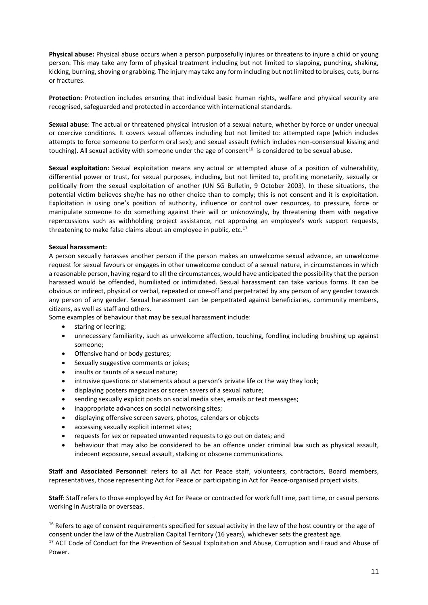**Physical abuse:** Physical abuse occurs when a person purposefully injures or threatens to injure a child or young person. This may take any form of physical treatment including but not limited to slapping, punching, shaking, kicking, burning, shoving or grabbing. The injury may take any form including but not limited to bruises, cuts, burns or fractures.

**Protection**: Protection includes ensuring that individual basic human rights, welfare and physical security are recognised, safeguarded and protected in accordance with international standards.

**Sexual abuse**: The actual or threatened physical intrusion of a sexual nature, whether by force or under unequal or coercive conditions. It covers sexual offences including but not limited to: attempted rape (which includes attempts to force someone to perform oral sex); and sexual assault (which includes non-consensual kissing and touching). All sexual activity with someone under the age of consent<sup>16</sup> is considered to be sexual abuse.

**Sexual exploitation:** Sexual exploitation means any actual or attempted abuse of a position of vulnerability, differential power or trust, for sexual purposes, including, but not limited to, profiting monetarily, sexually or politically from the sexual exploitation of another (UN SG Bulletin, 9 October 2003). In these situations, the potential victim believes she/he has no other choice than to comply; this is not consent and it is exploitation. Exploitation is using one's position of authority, influence or control over resources, to pressure, force or manipulate someone to do something against their will or unknowingly, by threatening them with negative repercussions such as withholding project assistance, not approving an employee's work support requests, threatening to make false claims about an employee in public, etc. $17$ 

#### **Sexual harassment:**

A person sexually harasses another person if the person makes an unwelcome sexual advance, an unwelcome request for sexual favours or engages in other unwelcome conduct of a sexual nature, in circumstances in which a reasonable person, having regard to all the circumstances, would have anticipated the possibility that the person harassed would be offended, humiliated or intimidated. Sexual harassment can take various forms. It can be obvious or indirect, physical or verbal, repeated or one-off and perpetrated by any person of any gender towards any person of any gender. Sexual harassment can be perpetrated against beneficiaries, community members, citizens, as well as staff and others.

Some examples of behaviour that may be sexual harassment include:

- staring or leering;
- unnecessary familiarity, such as unwelcome affection, touching, fondling including brushing up against someone;
- Offensive hand or body gestures;
- Sexually suggestive comments or jokes;
- insults or taunts of a sexual nature;
- intrusive questions or statements about a person's private life or the way they look;
- displaying posters magazines or screen savers of a sexual nature;
- sending sexually explicit posts on social media sites, emails or text messages;
- inappropriate advances on social networking sites;
- displaying offensive screen savers, photos, calendars or objects
- accessing sexually explicit internet sites;
- requests for sex or repeated unwanted requests to go out on dates; and
- behaviour that may also be considered to be an offence under criminal law such as physical assault, indecent exposure, sexual assault, stalking or obscene communications.

**Staff and Associated Personnel**: refers to all Act for Peace staff, volunteers, contractors, Board members, representatives, those representing Act for Peace or participating in Act for Peace-organised project visits.

**Staff**: Staff refers to those employed by Act for Peace or contracted for work full time, part time, or casual persons working in Australia or overseas.

<sup>&</sup>lt;sup>16</sup> Refers to age of consent requirements specified for sexual activity in the law of the host country or the age of consent under the law of the Australian Capital Territory (16 years), whichever sets the greatest age.

<sup>&</sup>lt;sup>17</sup> ACT Code of Conduct for the Prevention of Sexual Exploitation and Abuse, Corruption and Fraud and Abuse of Power.